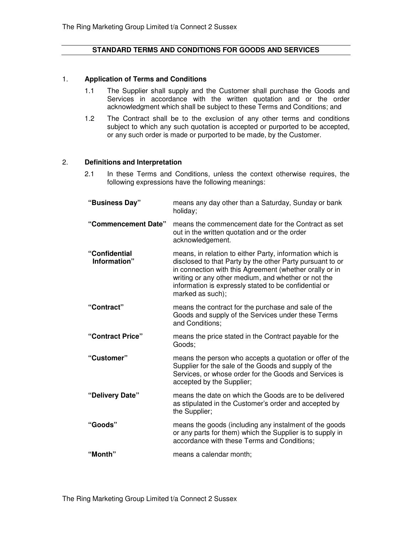#### **STANDARD TERMS AND CONDITIONS FOR GOODS AND SERVICES**

#### 1. **Application of Terms and Conditions**

- 1.1 The Supplier shall supply and the Customer shall purchase the Goods and Services in accordance with the written quotation and or the order acknowledgment which shall be subject to these Terms and Conditions; and
- 1.2 The Contract shall be to the exclusion of any other terms and conditions subject to which any such quotation is accepted or purported to be accepted, or any such order is made or purported to be made, by the Customer.

#### 2. **Definitions and Interpretation**

2.1 In these Terms and Conditions, unless the context otherwise requires, the following expressions have the following meanings:

| "Business Day"                | means any day other than a Saturday, Sunday or bank<br>holiday;                                                                                                                                                                                                                                                      |
|-------------------------------|----------------------------------------------------------------------------------------------------------------------------------------------------------------------------------------------------------------------------------------------------------------------------------------------------------------------|
| "Commencement Date"           | means the commencement date for the Contract as set<br>out in the written quotation and or the order<br>acknowledgement.                                                                                                                                                                                             |
| "Confidential<br>Information" | means, in relation to either Party, information which is<br>disclosed to that Party by the other Party pursuant to or<br>in connection with this Agreement (whether orally or in<br>writing or any other medium, and whether or not the<br>information is expressly stated to be confidential or<br>marked as such); |
| "Contract"                    | means the contract for the purchase and sale of the<br>Goods and supply of the Services under these Terms<br>and Conditions;                                                                                                                                                                                         |
| "Contract Price"              | means the price stated in the Contract payable for the<br>Goods:                                                                                                                                                                                                                                                     |
| "Customer"                    | means the person who accepts a quotation or offer of the<br>Supplier for the sale of the Goods and supply of the<br>Services, or whose order for the Goods and Services is<br>accepted by the Supplier;                                                                                                              |
| "Delivery Date"               | means the date on which the Goods are to be delivered<br>as stipulated in the Customer's order and accepted by<br>the Supplier;                                                                                                                                                                                      |
| "Goods"                       | means the goods (including any instalment of the goods<br>or any parts for them) which the Supplier is to supply in<br>accordance with these Terms and Conditions;                                                                                                                                                   |
| "Month"                       | means a calendar month;                                                                                                                                                                                                                                                                                              |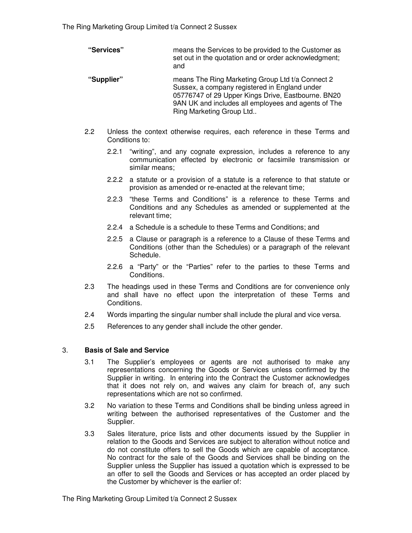**"Services"** means the Services to be provided to the Customer as set out in the quotation and or order acknowledgment; and

- **"Supplier"** means The Ring Marketing Group Ltd t/a Connect 2 Sussex, a company registered in England under 05776747 of 29 Upper Kings Drive, Eastbourne. BN20 9AN UK and includes all employees and agents of The Ring Marketing Group Ltd..
- 2.2 Unless the context otherwise requires, each reference in these Terms and Conditions to:
	- 2.2.1 "writing", and any cognate expression, includes a reference to any communication effected by electronic or facsimile transmission or similar means;
	- 2.2.2 a statute or a provision of a statute is a reference to that statute or provision as amended or re-enacted at the relevant time;
	- 2.2.3 "these Terms and Conditions" is a reference to these Terms and Conditions and any Schedules as amended or supplemented at the relevant time;
	- 2.2.4 a Schedule is a schedule to these Terms and Conditions; and
	- 2.2.5 a Clause or paragraph is a reference to a Clause of these Terms and Conditions (other than the Schedules) or a paragraph of the relevant Schedule.
	- 2.2.6 a "Party" or the "Parties" refer to the parties to these Terms and Conditions.
- 2.3 The headings used in these Terms and Conditions are for convenience only and shall have no effect upon the interpretation of these Terms and Conditions.
- 2.4 Words imparting the singular number shall include the plural and vice versa.
- 2.5 References to any gender shall include the other gender.

### 3. **Basis of Sale and Service**

- 3.1 The Supplier's employees or agents are not authorised to make any representations concerning the Goods or Services unless confirmed by the Supplier in writing. In entering into the Contract the Customer acknowledges that it does not rely on, and waives any claim for breach of, any such representations which are not so confirmed.
- 3.2 No variation to these Terms and Conditions shall be binding unless agreed in writing between the authorised representatives of the Customer and the Supplier.
- 3.3 Sales literature, price lists and other documents issued by the Supplier in relation to the Goods and Services are subject to alteration without notice and do not constitute offers to sell the Goods which are capable of acceptance. No contract for the sale of the Goods and Services shall be binding on the Supplier unless the Supplier has issued a quotation which is expressed to be an offer to sell the Goods and Services or has accepted an order placed by the Customer by whichever is the earlier of: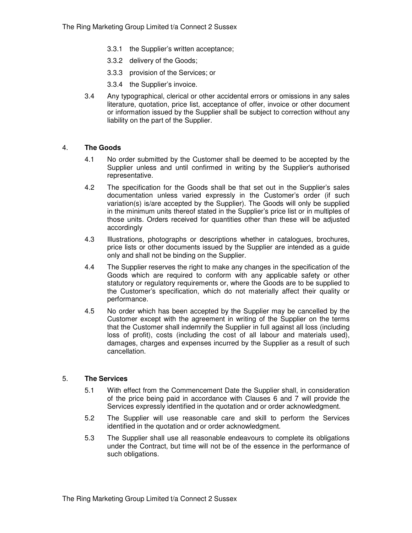- 3.3.1 the Supplier's written acceptance;
- 3.3.2 delivery of the Goods;
- 3.3.3 provision of the Services; or
- 3.3.4 the Supplier's invoice.
- 3.4 Any typographical, clerical or other accidental errors or omissions in any sales literature, quotation, price list, acceptance of offer, invoice or other document or information issued by the Supplier shall be subject to correction without any liability on the part of the Supplier.

### 4. **The Goods**

- 4.1 No order submitted by the Customer shall be deemed to be accepted by the Supplier unless and until confirmed in writing by the Supplier's authorised representative.
- 4.2 The specification for the Goods shall be that set out in the Supplier's sales documentation unless varied expressly in the Customer's order (if such variation(s) is/are accepted by the Supplier). The Goods will only be supplied in the minimum units thereof stated in the Supplier's price list or in multiples of those units. Orders received for quantities other than these will be adjusted accordingly
- 4.3 Illustrations, photographs or descriptions whether in catalogues, brochures, price lists or other documents issued by the Supplier are intended as a guide only and shall not be binding on the Supplier.
- 4.4 The Supplier reserves the right to make any changes in the specification of the Goods which are required to conform with any applicable safety or other statutory or regulatory requirements or, where the Goods are to be supplied to the Customer's specification, which do not materially affect their quality or performance.
- 4.5 No order which has been accepted by the Supplier may be cancelled by the Customer except with the agreement in writing of the Supplier on the terms that the Customer shall indemnify the Supplier in full against all loss (including loss of profit), costs (including the cost of all labour and materials used), damages, charges and expenses incurred by the Supplier as a result of such cancellation.

#### 5. **The Services**

- 5.1 With effect from the Commencement Date the Supplier shall, in consideration of the price being paid in accordance with Clauses 6 and 7 will provide the Services expressly identified in the quotation and or order acknowledgment.
- 5.2 The Supplier will use reasonable care and skill to perform the Services identified in the quotation and or order acknowledgment.
- 5.3 The Supplier shall use all reasonable endeavours to complete its obligations under the Contract, but time will not be of the essence in the performance of such obligations.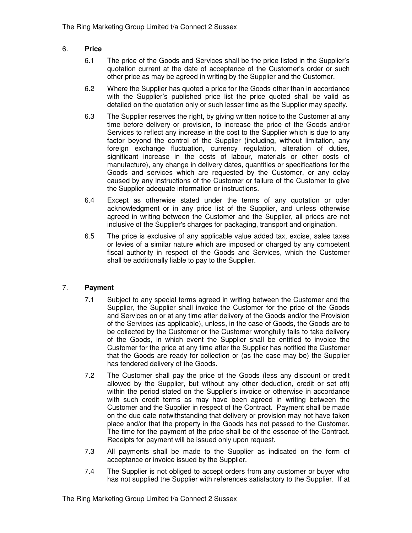# 6. **Price**

- 6.1 The price of the Goods and Services shall be the price listed in the Supplier's quotation current at the date of acceptance of the Customer's order or such other price as may be agreed in writing by the Supplier and the Customer.
- 6.2 Where the Supplier has quoted a price for the Goods other than in accordance with the Supplier's published price list the price quoted shall be valid as detailed on the quotation only or such lesser time as the Supplier may specify.
- 6.3 The Supplier reserves the right, by giving written notice to the Customer at any time before delivery or provision, to increase the price of the Goods and/or Services to reflect any increase in the cost to the Supplier which is due to any factor beyond the control of the Supplier (including, without limitation, any foreign exchange fluctuation, currency regulation, alteration of duties, significant increase in the costs of labour, materials or other costs of manufacture), any change in delivery dates, quantities or specifications for the Goods and services which are requested by the Customer, or any delay caused by any instructions of the Customer or failure of the Customer to give the Supplier adequate information or instructions.
- 6.4 Except as otherwise stated under the terms of any quotation or oder acknowledgment or in any price list of the Supplier, and unless otherwise agreed in writing between the Customer and the Supplier, all prices are not inclusive of the Supplier's charges for packaging, transport and origination.
- 6.5 The price is exclusive of any applicable value added tax, excise, sales taxes or levies of a similar nature which are imposed or charged by any competent fiscal authority in respect of the Goods and Services, which the Customer shall be additionally liable to pay to the Supplier.

# 7. **Payment**

- 7.1 Subject to any special terms agreed in writing between the Customer and the Supplier, the Supplier shall invoice the Customer for the price of the Goods and Services on or at any time after delivery of the Goods and/or the Provision of the Services (as applicable), unless, in the case of Goods, the Goods are to be collected by the Customer or the Customer wrongfully fails to take delivery of the Goods, in which event the Supplier shall be entitled to invoice the Customer for the price at any time after the Supplier has notified the Customer that the Goods are ready for collection or (as the case may be) the Supplier has tendered delivery of the Goods.
- 7.2 The Customer shall pay the price of the Goods (less any discount or credit allowed by the Supplier, but without any other deduction, credit or set off) within the period stated on the Supplier's invoice or otherwise in accordance with such credit terms as may have been agreed in writing between the Customer and the Supplier in respect of the Contract. Payment shall be made on the due date notwithstanding that delivery or provision may not have taken place and/or that the property in the Goods has not passed to the Customer. The time for the payment of the price shall be of the essence of the Contract. Receipts for payment will be issued only upon request.
- 7.3 All payments shall be made to the Supplier as indicated on the form of acceptance or invoice issued by the Supplier.
- 7.4 The Supplier is not obliged to accept orders from any customer or buyer who has not supplied the Supplier with references satisfactory to the Supplier. If at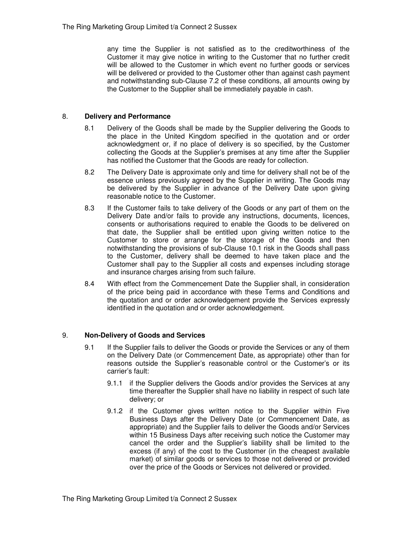any time the Supplier is not satisfied as to the creditworthiness of the Customer it may give notice in writing to the Customer that no further credit will be allowed to the Customer in which event no further goods or services will be delivered or provided to the Customer other than against cash payment and notwithstanding sub-Clause 7.2 of these conditions, all amounts owing by the Customer to the Supplier shall be immediately payable in cash.

### 8. **Delivery and Performance**

- 8.1 Delivery of the Goods shall be made by the Supplier delivering the Goods to the place in the United Kingdom specified in the quotation and or order acknowledgment or, if no place of delivery is so specified, by the Customer collecting the Goods at the Supplier's premises at any time after the Supplier has notified the Customer that the Goods are ready for collection.
- 8.2 The Delivery Date is approximate only and time for delivery shall not be of the essence unless previously agreed by the Supplier in writing. The Goods may be delivered by the Supplier in advance of the Delivery Date upon giving reasonable notice to the Customer.
- 8.3 If the Customer fails to take delivery of the Goods or any part of them on the Delivery Date and/or fails to provide any instructions, documents, licences, consents or authorisations required to enable the Goods to be delivered on that date, the Supplier shall be entitled upon giving written notice to the Customer to store or arrange for the storage of the Goods and then notwithstanding the provisions of sub-Clause 10.1 risk in the Goods shall pass to the Customer, delivery shall be deemed to have taken place and the Customer shall pay to the Supplier all costs and expenses including storage and insurance charges arising from such failure.
- 8.4 With effect from the Commencement Date the Supplier shall, in consideration of the price being paid in accordance with these Terms and Conditions and the quotation and or order acknowledgement provide the Services expressly identified in the quotation and or order acknowledgement.

### 9. **Non-Delivery of Goods and Services**

- 9.1 If the Supplier fails to deliver the Goods or provide the Services or any of them on the Delivery Date (or Commencement Date, as appropriate) other than for reasons outside the Supplier's reasonable control or the Customer's or its carrier's fault:
	- 9.1.1 if the Supplier delivers the Goods and/or provides the Services at any time thereafter the Supplier shall have no liability in respect of such late delivery; or
	- 9.1.2 if the Customer gives written notice to the Supplier within Five Business Days after the Delivery Date (or Commencement Date, as appropriate) and the Supplier fails to deliver the Goods and/or Services within 15 Business Days after receiving such notice the Customer may cancel the order and the Supplier's liability shall be limited to the excess (if any) of the cost to the Customer (in the cheapest available market) of similar goods or services to those not delivered or provided over the price of the Goods or Services not delivered or provided.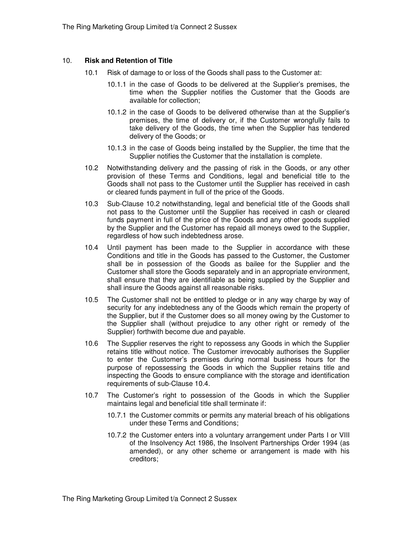#### 10. **Risk and Retention of Title**

- 10.1 Risk of damage to or loss of the Goods shall pass to the Customer at:
	- 10.1.1 in the case of Goods to be delivered at the Supplier's premises, the time when the Supplier notifies the Customer that the Goods are available for collection;
	- 10.1.2 in the case of Goods to be delivered otherwise than at the Supplier's premises, the time of delivery or, if the Customer wrongfully fails to take delivery of the Goods, the time when the Supplier has tendered delivery of the Goods; or
	- 10.1.3 in the case of Goods being installed by the Supplier, the time that the Supplier notifies the Customer that the installation is complete.
- 10.2 Notwithstanding delivery and the passing of risk in the Goods, or any other provision of these Terms and Conditions, legal and beneficial title to the Goods shall not pass to the Customer until the Supplier has received in cash or cleared funds payment in full of the price of the Goods.
- 10.3 Sub-Clause 10.2 notwithstanding, legal and beneficial title of the Goods shall not pass to the Customer until the Supplier has received in cash or cleared funds payment in full of the price of the Goods and any other goods supplied by the Supplier and the Customer has repaid all moneys owed to the Supplier, regardless of how such indebtedness arose.
- 10.4 Until payment has been made to the Supplier in accordance with these Conditions and title in the Goods has passed to the Customer, the Customer shall be in possession of the Goods as bailee for the Supplier and the Customer shall store the Goods separately and in an appropriate environment, shall ensure that they are identifiable as being supplied by the Supplier and shall insure the Goods against all reasonable risks.
- 10.5 The Customer shall not be entitled to pledge or in any way charge by way of security for any indebtedness any of the Goods which remain the property of the Supplier, but if the Customer does so all money owing by the Customer to the Supplier shall (without prejudice to any other right or remedy of the Supplier) forthwith become due and payable.
- 10.6 The Supplier reserves the right to repossess any Goods in which the Supplier retains title without notice. The Customer irrevocably authorises the Supplier to enter the Customer's premises during normal business hours for the purpose of repossessing the Goods in which the Supplier retains title and inspecting the Goods to ensure compliance with the storage and identification requirements of sub-Clause 10.4.
- 10.7 The Customer's right to possession of the Goods in which the Supplier maintains legal and beneficial title shall terminate if:
	- 10.7.1 the Customer commits or permits any material breach of his obligations under these Terms and Conditions;
	- 10.7.2 the Customer enters into a voluntary arrangement under Parts I or VIII of the Insolvency Act 1986, the Insolvent Partnerships Order 1994 (as amended), or any other scheme or arrangement is made with his creditors;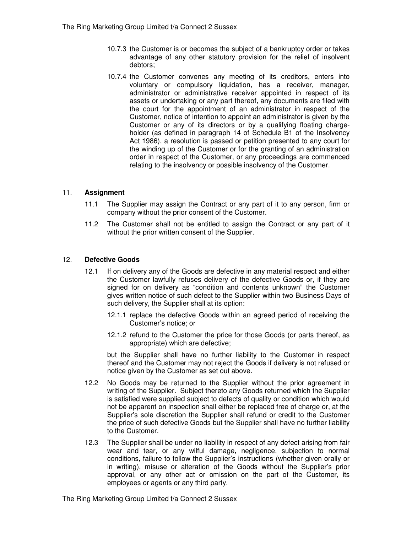- 10.7.3 the Customer is or becomes the subject of a bankruptcy order or takes advantage of any other statutory provision for the relief of insolvent debtors;
- 10.7.4 the Customer convenes any meeting of its creditors, enters into voluntary or compulsory liquidation, has a receiver, manager, administrator or administrative receiver appointed in respect of its assets or undertaking or any part thereof, any documents are filed with the court for the appointment of an administrator in respect of the Customer, notice of intention to appoint an administrator is given by the Customer or any of its directors or by a qualifying floating chargeholder (as defined in paragraph 14 of Schedule B1 of the Insolvency Act 1986), a resolution is passed or petition presented to any court for the winding up of the Customer or for the granting of an administration order in respect of the Customer, or any proceedings are commenced relating to the insolvency or possible insolvency of the Customer.

### 11. **Assignment**

- 11.1 The Supplier may assign the Contract or any part of it to any person, firm or company without the prior consent of the Customer.
- 11.2 The Customer shall not be entitled to assign the Contract or any part of it without the prior written consent of the Supplier.

### 12. **Defective Goods**

- 12.1 If on delivery any of the Goods are defective in any material respect and either the Customer lawfully refuses delivery of the defective Goods or, if they are signed for on delivery as "condition and contents unknown" the Customer gives written notice of such defect to the Supplier within two Business Days of such delivery, the Supplier shall at its option:
	- 12.1.1 replace the defective Goods within an agreed period of receiving the Customer's notice; or
	- 12.1.2 refund to the Customer the price for those Goods (or parts thereof, as appropriate) which are defective;

but the Supplier shall have no further liability to the Customer in respect thereof and the Customer may not reject the Goods if delivery is not refused or notice given by the Customer as set out above.

- 12.2 No Goods may be returned to the Supplier without the prior agreement in writing of the Supplier. Subject thereto any Goods returned which the Supplier is satisfied were supplied subject to defects of quality or condition which would not be apparent on inspection shall either be replaced free of charge or, at the Supplier's sole discretion the Supplier shall refund or credit to the Customer the price of such defective Goods but the Supplier shall have no further liability to the Customer.
- 12.3 The Supplier shall be under no liability in respect of any defect arising from fair wear and tear, or any wilful damage, negligence, subjection to normal conditions, failure to follow the Supplier's instructions (whether given orally or in writing), misuse or alteration of the Goods without the Supplier's prior approval, or any other act or omission on the part of the Customer, its employees or agents or any third party.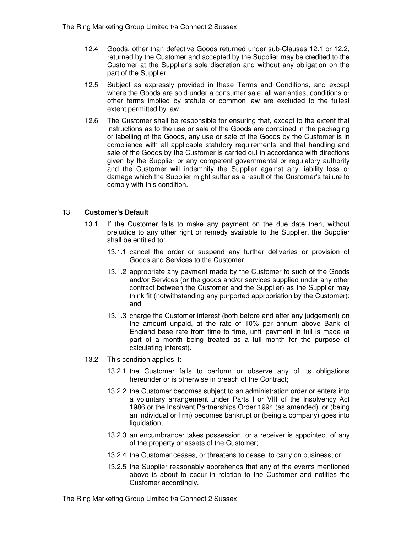- 12.4 Goods, other than defective Goods returned under sub-Clauses 12.1 or 12.2, returned by the Customer and accepted by the Supplier may be credited to the Customer at the Supplier's sole discretion and without any obligation on the part of the Supplier.
- 12.5 Subject as expressly provided in these Terms and Conditions, and except where the Goods are sold under a consumer sale, all warranties, conditions or other terms implied by statute or common law are excluded to the fullest extent permitted by law.
- 12.6 The Customer shall be responsible for ensuring that, except to the extent that instructions as to the use or sale of the Goods are contained in the packaging or labelling of the Goods, any use or sale of the Goods by the Customer is in compliance with all applicable statutory requirements and that handling and sale of the Goods by the Customer is carried out in accordance with directions given by the Supplier or any competent governmental or regulatory authority and the Customer will indemnify the Supplier against any liability loss or damage which the Supplier might suffer as a result of the Customer's failure to comply with this condition.

# 13. **Customer's Default**

- 13.1 If the Customer fails to make any payment on the due date then, without prejudice to any other right or remedy available to the Supplier, the Supplier shall be entitled to:
	- 13.1.1 cancel the order or suspend any further deliveries or provision of Goods and Services to the Customer;
	- 13.1.2 appropriate any payment made by the Customer to such of the Goods and/or Services (or the goods and/or services supplied under any other contract between the Customer and the Supplier) as the Supplier may think fit (notwithstanding any purported appropriation by the Customer); and
	- 13.1.3 charge the Customer interest (both before and after any judgement) on the amount unpaid, at the rate of 10% per annum above Bank of England base rate from time to time, until payment in full is made (a part of a month being treated as a full month for the purpose of calculating interest).
- 13.2 This condition applies if:
	- 13.2.1 the Customer fails to perform or observe any of its obligations hereunder or is otherwise in breach of the Contract;
	- 13.2.2 the Customer becomes subject to an administration order or enters into a voluntary arrangement under Parts I or VIII of the Insolvency Act 1986 or the Insolvent Partnerships Order 1994 (as amended) or (being an individual or firm) becomes bankrupt or (being a company) goes into liquidation;
	- 13.2.3 an encumbrancer takes possession, or a receiver is appointed, of any of the property or assets of the Customer;
	- 13.2.4 the Customer ceases, or threatens to cease, to carry on business; or
	- 13.2.5 the Supplier reasonably apprehends that any of the events mentioned above is about to occur in relation to the Customer and notifies the Customer accordingly.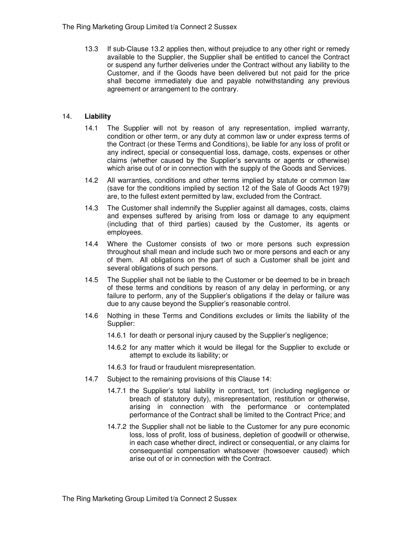13.3 If sub-Clause 13.2 applies then, without prejudice to any other right or remedy available to the Supplier, the Supplier shall be entitled to cancel the Contract or suspend any further deliveries under the Contract without any liability to the Customer, and if the Goods have been delivered but not paid for the price shall become immediately due and payable notwithstanding any previous agreement or arrangement to the contrary.

### 14. **Liability**

- 14.1 The Supplier will not by reason of any representation, implied warranty, condition or other term, or any duty at common law or under express terms of the Contract (or these Terms and Conditions), be liable for any loss of profit or any indirect, special or consequential loss, damage, costs, expenses or other claims (whether caused by the Supplier's servants or agents or otherwise) which arise out of or in connection with the supply of the Goods and Services.
- 14.2 All warranties, conditions and other terms implied by statute or common law (save for the conditions implied by section 12 of the Sale of Goods Act 1979) are, to the fullest extent permitted by law, excluded from the Contract.
- 14.3 The Customer shall indemnify the Supplier against all damages, costs, claims and expenses suffered by arising from loss or damage to any equipment (including that of third parties) caused by the Customer, its agents or employees.
- 14.4 Where the Customer consists of two or more persons such expression throughout shall mean and include such two or more persons and each or any of them. All obligations on the part of such a Customer shall be joint and several obligations of such persons.
- 14.5 The Supplier shall not be liable to the Customer or be deemed to be in breach of these terms and conditions by reason of any delay in performing, or any failure to perform, any of the Supplier's obligations if the delay or failure was due to any cause beyond the Supplier's reasonable control.
- 14.6 Nothing in these Terms and Conditions excludes or limits the liability of the Supplier:
	- 14.6.1 for death or personal injury caused by the Supplier's negligence;
	- 14.6.2 for any matter which it would be illegal for the Supplier to exclude or attempt to exclude its liability; or
	- 14.6.3 for fraud or fraudulent misrepresentation.
- 14.7 Subject to the remaining provisions of this Clause 14:
	- 14.7.1 the Supplier's total liability in contract, tort (including negligence or breach of statutory duty), misrepresentation, restitution or otherwise, arising in connection with the performance or contemplated performance of the Contract shall be limited to the Contract Price; and
	- 14.7.2 the Supplier shall not be liable to the Customer for any pure economic loss, loss of profit, loss of business, depletion of goodwill or otherwise, in each case whether direct, indirect or consequential, or any claims for consequential compensation whatsoever (howsoever caused) which arise out of or in connection with the Contract.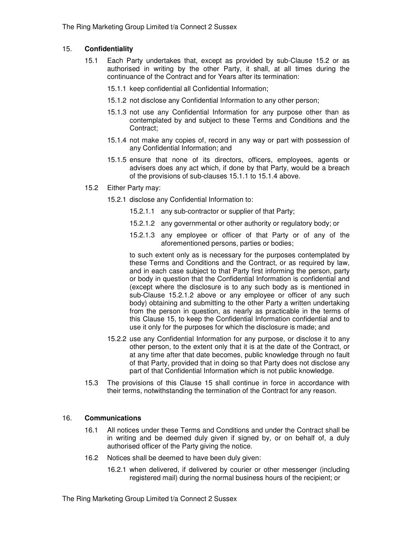# 15. **Confidentiality**

- 15.1 Each Party undertakes that, except as provided by sub-Clause 15.2 or as authorised in writing by the other Party, it shall, at all times during the continuance of the Contract and for Years after its termination:
	- 15.1.1 keep confidential all Confidential Information;
	- 15.1.2 not disclose any Confidential Information to any other person;
	- 15.1.3 not use any Confidential Information for any purpose other than as contemplated by and subject to these Terms and Conditions and the Contract;
	- 15.1.4 not make any copies of, record in any way or part with possession of any Confidential Information; and
	- 15.1.5 ensure that none of its directors, officers, employees, agents or advisers does any act which, if done by that Party, would be a breach of the provisions of sub-clauses 15.1.1 to 15.1.4 above.
- 15.2 Either Party may:
	- 15.2.1 disclose any Confidential Information to:
		- 15.2.1.1 any sub-contractor or supplier of that Party;
		- 15.2.1.2 any governmental or other authority or regulatory body; or
		- 15.2.1.3 any employee or officer of that Party or of any of the aforementioned persons, parties or bodies;

to such extent only as is necessary for the purposes contemplated by these Terms and Conditions and the Contract, or as required by law, and in each case subject to that Party first informing the person, party or body in question that the Confidential Information is confidential and (except where the disclosure is to any such body as is mentioned in sub-Clause 15.2.1.2 above or any employee or officer of any such body) obtaining and submitting to the other Party a written undertaking from the person in question, as nearly as practicable in the terms of this Clause 15, to keep the Confidential Information confidential and to use it only for the purposes for which the disclosure is made; and

- 15.2.2 use any Confidential Information for any purpose, or disclose it to any other person, to the extent only that it is at the date of the Contract, or at any time after that date becomes, public knowledge through no fault of that Party, provided that in doing so that Party does not disclose any part of that Confidential Information which is not public knowledge.
- 15.3 The provisions of this Clause 15 shall continue in force in accordance with their terms, notwithstanding the termination of the Contract for any reason.

### 16. **Communications**

- 16.1 All notices under these Terms and Conditions and under the Contract shall be in writing and be deemed duly given if signed by, or on behalf of, a duly authorised officer of the Party giving the notice.
- 16.2 Notices shall be deemed to have been duly given:
	- 16.2.1 when delivered, if delivered by courier or other messenger (including registered mail) during the normal business hours of the recipient; or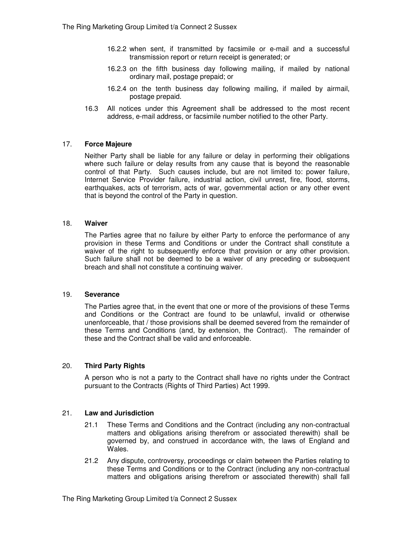- 16.2.2 when sent, if transmitted by facsimile or e-mail and a successful transmission report or return receipt is generated; or
- 16.2.3 on the fifth business day following mailing, if mailed by national ordinary mail, postage prepaid; or
- 16.2.4 on the tenth business day following mailing, if mailed by airmail, postage prepaid.
- 16.3 All notices under this Agreement shall be addressed to the most recent address, e-mail address, or facsimile number notified to the other Party.

### 17. **Force Majeure**

Neither Party shall be liable for any failure or delay in performing their obligations where such failure or delay results from any cause that is beyond the reasonable control of that Party. Such causes include, but are not limited to: power failure, Internet Service Provider failure, industrial action, civil unrest, fire, flood, storms, earthquakes, acts of terrorism, acts of war, governmental action or any other event that is beyond the control of the Party in question.

### 18. **Waiver**

The Parties agree that no failure by either Party to enforce the performance of any provision in these Terms and Conditions or under the Contract shall constitute a waiver of the right to subsequently enforce that provision or any other provision. Such failure shall not be deemed to be a waiver of any preceding or subsequent breach and shall not constitute a continuing waiver.

### 19. **Severance**

The Parties agree that, in the event that one or more of the provisions of these Terms and Conditions or the Contract are found to be unlawful, invalid or otherwise unenforceable, that / those provisions shall be deemed severed from the remainder of these Terms and Conditions (and, by extension, the Contract). The remainder of these and the Contract shall be valid and enforceable.

### 20. **Third Party Rights**

A person who is not a party to the Contract shall have no rights under the Contract pursuant to the Contracts (Rights of Third Parties) Act 1999.

### 21. **Law and Jurisdiction**

- 21.1 These Terms and Conditions and the Contract (including any non-contractual matters and obligations arising therefrom or associated therewith) shall be governed by, and construed in accordance with, the laws of England and Wales.
- 21.2 Any dispute, controversy, proceedings or claim between the Parties relating to these Terms and Conditions or to the Contract (including any non-contractual matters and obligations arising therefrom or associated therewith) shall fall